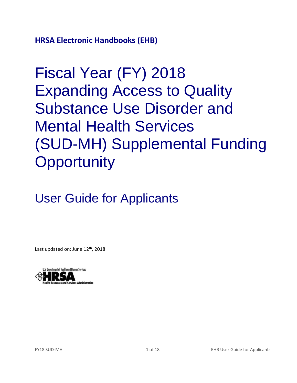**HRSA Electronic Handbooks (EHB)**

Fiscal Year (FY) 2018 Expanding Access to Quality Substance Use Disorder and Mental Health Services (SUD-MH) Supplemental Funding **Opportunity** 

User Guide for Applicants

Last updated on: June 12<sup>th</sup>, 2018

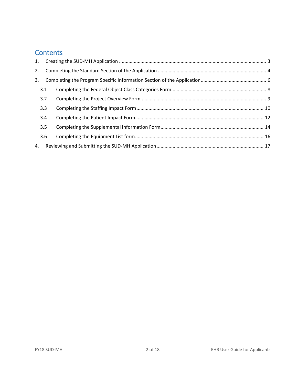# **Contents**

| 1. |     |  |
|----|-----|--|
| 2. |     |  |
| 3. |     |  |
|    | 3.1 |  |
|    | 3.2 |  |
|    | 3.3 |  |
|    | 3.4 |  |
|    | 3.5 |  |
|    | 3.6 |  |
| 4. |     |  |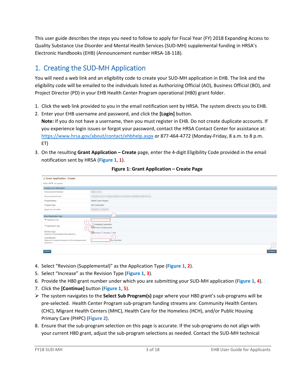This user guide describes the steps you need to follow to apply for Fiscal Year (FY) 2018 Expanding Access to Quality Substance Use Disorder and Mental Health Services (SUD-MH) supplemental funding in HRSA's Electronic Handbooks (EHB) (Announcement number HRSA-18-118).

# <span id="page-2-0"></span>1. Creating the SUD-MH Application

You will need a web link and an eligibility code to create your SUD-MH application in EHB. The link and the eligibility code will be emailed to the individuals listed as Authorizing Official (AO), Business Official (BO), and Project Director (PD) in your EHB Health Center Program operational (H80) grant folder.

- 1. Click the web link provided to you in the email notification sent by HRSA. The system directs you to EHB.
- 2. Enter your EHB username and password, and click the **[Login]** button. **Note:** If you do not have a username, then you must register in EHB. Do not create duplicate accounts. If you experience login issues or forgot your password, contact the HRSA Contact Center for assistance at: <https://www.hrsa.gov/about/contact/ehbhelp.aspx> or 877-464-4772 (Monday-Friday, 8 a.m. to 8 p.m. ET)
- <span id="page-2-1"></span>3. On the resulting **Grant Application – Create** page, enter the 4-digit Eligibility Code provided in the email notification sent by HRSA (**[Figure 1](#page-2-1)**, **1**).

| <b>Grant Application - Create</b>                                                                   |                                                   |
|-----------------------------------------------------------------------------------------------------|---------------------------------------------------|
| Fields with * are required                                                                          |                                                   |
| <b>Funding Cycle Information</b>                                                                    |                                                   |
| Announcement Number                                                                                 | sing and                                          |
| Announcement name                                                                                   | and himself could be ready                        |
| Program Name                                                                                        | Health Center Program                             |
| Program Type                                                                                        | Non-Construction                                  |
| Application Deadline                                                                                | $-10.04 - 0.06$                                   |
| <b>Select Application Type</b>                                                                      |                                                   |
| · Eligibility Code<br>$\overline{2}$                                                                |                                                   |
| $\bullet$ Application Type<br>$\mathfrak{X}$                                                        | Competing Continuation<br>Revision (Supplemental) |
| Revision Type<br>(Required for 'Revision) luggitementally applications)                             | <b>E</b> ffecrease C Decrease C N/A               |
| Grant Number<br>(Required for Competing Continuation' and Theriston(Supportmental)<br>applications) | z<br>Teg coocstoote                               |
|                                                                                                     | $\sqrt{5}$                                        |
| Cancel                                                                                              | Continue                                          |

**Figure 1: Grant Application – Create Page**

- 4. Select "Revision (Supplemental)" as the Application Type (**[Figure 1](#page-2-1)**, **2**).
- 5. Select "Increase" as the Revision Type (**[Figure 1](#page-2-1)**, **3**).
- 6. Provide the H80 grant number under which you are submitting your SUD-MH application (**[Figure 1](#page-2-1)**, **4**).
- 7. Click the **[Continue]** button (**[Figure 1](#page-2-1)**, **5**).
- The system navigates to the **Select Sub Program(s)** page where your H80 grant's sub-programs will be pre-selected. Health Center Program sub-program funding streams are: Community Health Centers (CHC), Migrant Health Centers (MHC), Health Care for the Homeless (HCH), and/or Public Housing Primary Care (PHPC) (**Figure 2**).
- 8. Ensure that the sub-program selection on this page is accurate. If the sub-programs do not align with your current H80 grant, adjust the sub-program selections as needed. Contact the SUD-MH technical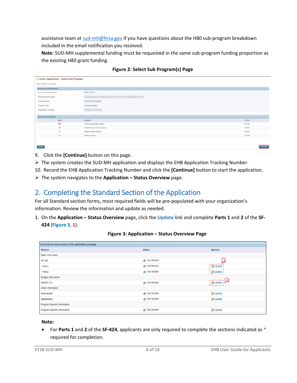assistance team a[t sud-mh@hrsa.gov](mailto:sud-mh@hrsa.gov) if you have questions about the H80 sub-program breakdown included in the email notification you received.

**Note**: SUD-MH supplemental funding must be requested in the same sub-program funding proportion as the existing H80 grant funding.

| <b>Funding Cycle Information</b> |                              |        |
|----------------------------------|------------------------------|--------|
| Announcement Number              | HRSA-18-118                  |        |
| Announcement name                | <b>CARD SERVICE</b>          |        |
| Program Name                     | Health Center Program        |        |
| Program Type                     | Non-Construction             |        |
| Application Deadline             | <b>CONTRACTOR</b>            |        |
| Select Sub Program(s)            |                              |        |
| Select                           | Program                      | CFDA   |
| α                                | Community Health Centers     | 93.224 |
| ø                                | Health Care for the Homeless | 93.224 |
| 日                                | Migrant Health Centers       | 93 224 |
| G)                               | Public Housing               | 93 224 |

9. Click the **[Continue]** button on this page.

- The system creates the SUD-MH application and displays the EHB Application Tracking Number.
- 10. Record the EHB Application Tracking Number and click the **[Continue]** button to start the application.
- The system navigates to the **Application – Status Overview** page.

# <span id="page-3-0"></span>2. Completing the Standard Section of the Application

For all Standard section forms, most required fields will be pre-populated with your organization's information. Review the information and update as needed.

1. On the **Application – Status Overview** page, click the **Update** link and complete **Parts 1** and **2** of the **SF-424** (**[Figure 3](#page-3-1)**, **1**).

<span id="page-3-1"></span>

### **Figure 3: Application – Status Overview Page**

#### **Note:**

• For **Parts 1** and **2** of the **SF-424**, applicants are only required to complete the sections indicated as \* required for completion.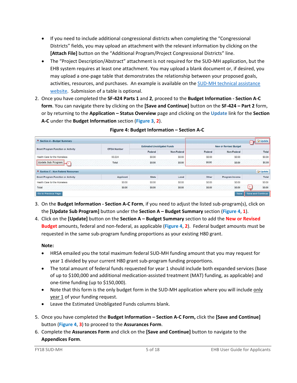- If you need to include additional congressional districts when completing the "Congressional Districts" fields, you may upload an attachment with the relevant information by clicking on the **[Attach File]** button on the "Additional Program/Project Congressional Districts" line.
- The "Project Description/Abstract" attachment is not required for the SUD-MH application, but the EHB system requires at least one attachment. You may upload a blank document or, if desired, you may upload a one-page table that demonstrates the relationship between your proposed goals, activities, resources, and purchases. An example is available on the [SUD-MH technical assistance](https://bphc.hrsa.gov/programopportunities/fundingopportunities/sud-mh)  [website.](https://bphc.hrsa.gov/programopportunities/fundingopportunities/sud-mh) Submission of a table is optional.
- 2. Once you have completed the **SF-424 Parts 1** and **2**, proceed to the **Budget Information - Section A-C form**. You can navigate there by clicking on the **[Save and Continue]** button on the **SF-424 – Part 2** form, or by returning to the **Application – Status Overview** page and clicking on the **Update** link for the **Section A-C** under the **Budget Information** section (**[Figure 3](#page-3-1)**, **2**).

<span id="page-4-0"></span>

| * Section A - Budget Summary              |                    |                                    |             |         |                                                                              | Update<br>$\cdot$ H $\sim$ |
|-------------------------------------------|--------------------|------------------------------------|-------------|---------|------------------------------------------------------------------------------|----------------------------|
| <b>Grant Program Function or Activity</b> | <b>CFDA Number</b> | <b>Estimated Unobligated Funds</b> |             |         | <b>New or Revised Budget</b><br>Total<br>\$0.00<br>\$0.00<br><b>D</b> Update |                            |
|                                           |                    | Federal                            | Non-Federal | Federal | Non-Federal                                                                  |                            |
| Health Care for the Homeless              | 93.224             | \$0.00                             | \$0.00      | \$0.00  | \$0.00                                                                       |                            |
| Update Sub Program                        | Total              | \$0.00                             | \$0.00      | \$0.00  | \$0.00                                                                       |                            |
| * Section C - Non Federal Resources       |                    |                                    |             |         |                                                                              |                            |
| <b>Grant Program Function or Activity</b> | Applicant          | <b>State</b>                       | Local       | Other   | Program Income                                                               | Total                      |
| Health Care for the Homeless              | \$0.00             | \$0.00                             | \$0.00      | \$0.00  | \$0.00                                                                       | \$0.00                     |
| Total                                     | \$0.00             | \$0.00                             | \$0.00      | \$0.00  | \$0.00                                                                       | $\mathbf{3}$<br>\$0.00     |
| Go to Previous Page                       |                    |                                    |             |         | Save                                                                         | Save and Continue          |

#### **Figure 4: Budget Information – Section A-C**

- 3. On the **Budget Information - Section A-C Form**, if you need to adjust the listed sub-program(s), click on the **[Update Sub Program]** button under the **Section A – Budget Summary** section (**[Figure 4](#page-4-0)**, **1**).
- 4. Click on the **[Update]** button on the **Section A – Budget Summary** section to add the **New or Revised Budget** amounts, federal and non-federal, as applicable (**[Figure 4](#page-4-0)**, **2**). Federal budget amounts must be requested in the same sub-program funding proportions as your existing H80 grant.

### **Note:**

- HRSA emailed you the total maximum federal SUD-MH funding amount that you may request for year 1 divided by your current H80 grant sub-program funding proportions.
- The total amount of federal funds requested for year 1 should include both expanded services (base of up to \$100,000 and additional medication-assisted treatment (MAT) funding, as applicable) and one-time funding (up to \$150,000).
- Note that this form is the only budget form in the SUD-MH application where you will include only year 1 of your funding request.
- Leave the Estimated Unobligated Funds columns blank.
- 5. Once you have completed the **Budget Information – Section A-C Form,** click the **[Save and Continue]** button (**[Figure 4](#page-4-0)**, **3**) to proceed to the **Assurances Form**.
- 6. Complete the **Assurances Form** and click on the **[Save and Continue]** button to navigate to the **Appendices Form**.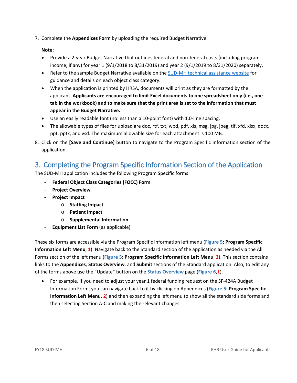7. Complete the **Appendices Form** by uploading the required Budget Narrative.

### **Note:**

- Provide a 2-year Budget Narrative that outlines federal and non-federal costs (including program income, if any) for year 1 (9/1/2018 to 8/31/2019) and year 2 (9/1/2019 to 8/31/2020) separately.
- Refer to the sample Budget Narrative available on the [SUD-MH technical assistance website](https://bphc.hrsa.gov/programopportunities/fundingopportunities/sud-mh) for guidance and details on each object class category.
- When the application is printed by HRSA, documents will print as they are formatted by the applicant. **Applicants are encouraged to limit Excel documents to one spreadsheet only (i.e., one tab in the workbook) and to make sure that the print area is set to the information that must appear in the Budget Narrative.**
- Use an easily readable font (no less than a 10-point font) with 1.0-line spacing.
- The allowable types of files for upload are doc, rtf, txt, wpd, pdf, xls, msg, jpg, jpeg, tif, xfd, xlsx, docx, ppt, pptx, and vsd. The maximum allowable size for each attachment is 100 MB.
- 8. Click on the **[Save and Continue]** button to navigate to the Program Specific Information section of the application.

# <span id="page-5-0"></span>3. Completing the Program Specific Information Section of the Application

The SUD-MH application includes the following Program Specific forms:

- **Federal Object Class Categories (FOCC) Form**
- **Project Overview**
- **Project Impact**
	- o **Staffing Impact**
	- o **Patient Impact**
	- o **Supplemental Information**
- **Equipment List Form** (as applicable)

These six forms are accessible via the Program Specific Information left menu (**[Figure 5: Program Specific](#page-6-0)  [Information Left Menu](#page-6-0)**, **1**). Navigate back to the Standard section of the application as needed via the All Forms section of the left menu (**[Figure 5: Program Specific Information Left Menu](#page-6-0)**, **2**). This section contains links to the **Appendices**, **Status Overview**, and **Submit** sections of the Standard application. Also, to edit any of the forms above use the "Update" button on the **Status Overview** page (**[Figure 6](#page-6-0)**,**1**).

• For example, if you need to adjust your year 1 federal funding request on the SF-424A Budget Information Form, you can navigate back to it by clicking on Appendices (**[Figure 5: Program Specific](#page-6-0)  [Information Left Menu](#page-6-0)**, **2**) and then expanding the left menu to show all the standard side forms and then selecting Section A-C and making the relevant changes.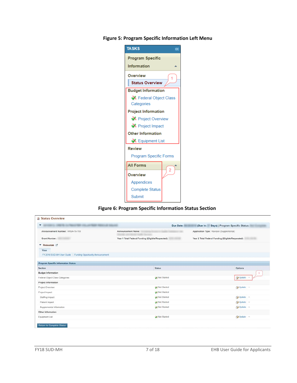| <b>TASKS</b>                  | $\overline{\ll}$ |  |  |  |  |  |  |
|-------------------------------|------------------|--|--|--|--|--|--|
| <b>Program Specific</b>       |                  |  |  |  |  |  |  |
| Information                   |                  |  |  |  |  |  |  |
| Overview                      |                  |  |  |  |  |  |  |
| <b>Status Overview</b>        |                  |  |  |  |  |  |  |
| <b>Budget Information</b>     |                  |  |  |  |  |  |  |
| Federal Object Class          |                  |  |  |  |  |  |  |
| Categories                    |                  |  |  |  |  |  |  |
| <b>Project Information</b>    |                  |  |  |  |  |  |  |
|                               | Project Overview |  |  |  |  |  |  |
| Project Impact                |                  |  |  |  |  |  |  |
| <b>Other Information</b>      |                  |  |  |  |  |  |  |
| Equipment List                |                  |  |  |  |  |  |  |
| <b>Review</b>                 |                  |  |  |  |  |  |  |
| <b>Program Specific Forms</b> |                  |  |  |  |  |  |  |
| <b>All Forms</b>              | $\overline{2}$   |  |  |  |  |  |  |
| Overview                      |                  |  |  |  |  |  |  |
| Appendices                    |                  |  |  |  |  |  |  |
| <b>Complete Status</b>        |                  |  |  |  |  |  |  |
| Submit                        |                  |  |  |  |  |  |  |

<span id="page-6-0"></span>**Figure 5: Program Specific Information Left Menu**

**Figure 6: Program Specific Information Status Section**

| v                                                          | APPEARE PRODUCE SEASON<br>Due Date:                     | (Due In: Days)   Program Specific Status:          |
|------------------------------------------------------------|---------------------------------------------------------|----------------------------------------------------|
| Announcement Number: HRSA-18-118                           | Announcement Name:                                      | Application Type: Revision (Supplemental)          |
| Grant Number:                                              | Year 1 Total Federal Funding (Eligible/Requested):<br>۰ | Year 2 Total Federal Funding (Eligible/Requested): |
| ▼ Resources <b>C</b>                                       |                                                         |                                                    |
| View                                                       |                                                         |                                                    |
| FY 2018 SUD-MH User Guide Funding Opportunity Announcement |                                                         |                                                    |
| <b>Program Specific Information Status</b>                 |                                                         |                                                    |
| Section                                                    | <b>Status</b>                                           | Options                                            |
| <b>Budget Information</b>                                  |                                                         |                                                    |
| Federal Object Class Categories                            | Not Started                                             | Update =                                           |
| Project Information                                        |                                                         |                                                    |
| Project Overview                                           | X Not Started                                           | Update =                                           |
| Project Impact                                             | X Not Started                                           |                                                    |
| Staffing Impact                                            | Not Started                                             | Update =                                           |
| Patient Impact                                             | X Not Started                                           | DUpdate =                                          |
| Supplemental Information                                   | Not Started                                             | Update =                                           |
| Other Information                                          |                                                         |                                                    |
| Equipment List                                             | Not Started                                             | Dupdate =                                          |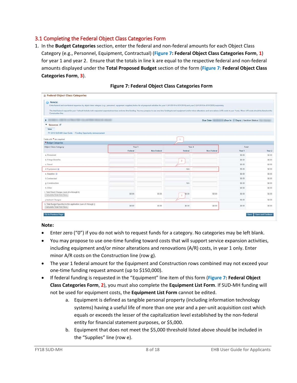# <span id="page-7-0"></span>3.1 Completing the Federal Object Class Categories Form

1. In the **Budget Categories** section, enter the federal and non-federal amounts for each Object Class Category (e.g., Personnel, Equipment, Contractual) (**[Figure 7: Federal Object Class Categories Form](#page-7-1)**, **1**) for year 1 and year 2. Ensure that the totals in line k are equal to the respective federal and non-federal amounts displayed under the **Total Proposed Budget** section of the form (**Figure 7: [Federal Object Class](#page-7-1)  [Categories Form](#page-7-1)**, **3**).

<span id="page-7-1"></span>

| ü<br>Note(s):<br>Enter federal and non-federal expenses by object class category (e.g., personnel, equipment, supplies) below for all proposed activities for year 1 (9/1/2018 to 8/31/2019) and year 2 (9/1/2019 to 8/31/2020) separately.          |         |             |              |             |                                    |        |
|------------------------------------------------------------------------------------------------------------------------------------------------------------------------------------------------------------------------------------------------------|---------|-------------|--------------|-------------|------------------------------------|--------|
| The total federal request for year 1 should include both requested expanded services and one-time funding. You may propose to use one-time funding toward equipment and/or minor alterations and renovations (A/R) costs in ye<br>Construction line. |         |             |              |             |                                    |        |
| LANSING MODELAND COLLEGE<br>Þ.                                                                                                                                                                                                                       |         |             |              | Due Date    | (Due In:   Days)   Section Status: |        |
| ▼ Resources D                                                                                                                                                                                                                                        |         |             |              |             |                                    |        |
| View                                                                                                                                                                                                                                                 |         |             |              |             |                                    |        |
| FY 2018 SUD-MH User Guide   Funding Opportunity Announcement                                                                                                                                                                                         |         |             |              |             |                                    |        |
| Fields with * are required                                                                                                                                                                                                                           |         |             | 1            |             |                                    |        |
| * Budget Categories                                                                                                                                                                                                                                  |         |             |              |             |                                    |        |
| <b>Object Class Category</b>                                                                                                                                                                                                                         | Year 1  |             | Year 2       |             | Total                              |        |
|                                                                                                                                                                                                                                                      | Federal | Non-Federal | Federal      | Non-Federal | Year <sub>1</sub>                  | Year 2 |
| a. Personnel                                                                                                                                                                                                                                         |         |             |              |             | \$0.00                             | \$0.00 |
| b. Fringe Benefits                                                                                                                                                                                                                                   |         |             | $\mathbf{2}$ |             | \$0.00                             | \$0.00 |
| c. Travel                                                                                                                                                                                                                                            |         |             |              |             | \$0.00                             | \$0.00 |
| d. Equipment (                                                                                                                                                                                                                                       |         |             | N/A          |             | \$0.00                             | \$0.00 |
| e. Supplies (D)                                                                                                                                                                                                                                      |         |             |              |             | \$0.00                             | \$0.00 |
| f. Contractual                                                                                                                                                                                                                                       |         |             |              |             | \$0.00                             | 50.00  |
| g. Construction                                                                                                                                                                                                                                      |         |             | N/A          |             | \$0.00                             | \$0.00 |
| h. Other                                                                                                                                                                                                                                             |         |             |              |             | \$0.00                             | \$0.00 |
| i. Total Direct Charges (sum of a through h)<br>Calculate Total And Save                                                                                                                                                                             | \$0.00  | \$0.00      | \$0.00<br>3  | \$0.00      | \$0.00                             | \$0.00 |
| j. Indirect Charges                                                                                                                                                                                                                                  |         |             |              |             | 50.00                              | \$0.00 |
| k. Total Budget Specified in this application (sum of i through j)<br>Calculate Total And Save                                                                                                                                                       | 50.00   | \$0.00      | 50.00        | \$0.00      | \$0.00                             | 50.00  |

#### **Figure 7: Federal Object Class Categories Form**

#### **Note:**

- Enter zero ("0") if you do not wish to request funds for a category. No categories may be left blank.
- You may propose to use one-time funding toward costs that will support service expansion activities, including equipment and/or minor alterations and renovations (A/R) costs, in year 1 only. Enter minor A/R costs on the Construction line (row g).
- The year 1 federal amount for the Equipment and Construction rows combined may not exceed your one-time funding request amount (up to \$150,000).
- If federal funding is requested in the "Equipment" line item of this form (**[Figure 7: Federal Object](#page-7-1)  [Class Categories Form](#page-7-1)**, **2**), you must also complete the **Equipment List Form**. If SUD-MH funding will not be used for equipment costs, the **Equipment List Form** cannot be edited.
	- a. Equipment is defined as tangible personal property (including information technology systems) having a useful life of more than one year and a per-unit acquisition cost which equals or exceeds the lesser of the capitalization level established by the non-federal entity for financial statement purposes, or \$5,000.
	- b. Equipment that does not meet the \$5,000 threshold listed above should be included in the "Supplies" line (row e).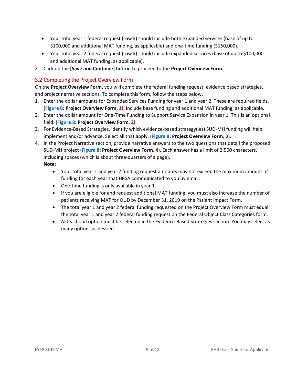- Your total year 1 federal request (row k) should include both expanded services (base of up to \$100,000 and additional MAT funding, as applicable) and one-time funding (\$150,000).
- Your total year 2 federal request (row k) should include expanded services (base of up to \$100,000 and additional MAT funding, as applicable).
- 2. Click on the **[Save and Continue]** button to proceed to the **Project Overview Form**.

# <span id="page-8-0"></span>3.2 Completing the Project Overview Form

On the **Project Overview Form**, you will complete the federal funding request, evidence based strategies, and project narrative sections. To complete this form, follow the steps below.

- 1. Enter the dollar amounts for Expanded Services Funding for year 1 and year 2. These are required fields. (**[Figure 8: Project Overview Form](#page-11-1)**, **1**). Include base funding and additional MAT funding, as applicable.
- 2. Enter the dollar amount for One-Time Funding to Support Service Expansion in year 1. This is an optional field. (**[Figure 8: Project Overview Form](#page-11-1)**, **2**).
- 3. For Evidence-Based Strategies, identify which evidence-based strategy(ies) SUD-MH funding will help implement and/or advance. Select all that apply. (**[Figure 8: Project Overview Form](#page-11-1)**, **3**).
- 4. In the Project Narrative section, provide narrative answers to the two questions that detail the proposed SUD-MH project (**[Figure 8: Project Overview Form](#page-11-1)**, **4**). Each answer has a limit of 2,500 characters, including spaces (which is about three-quarters of a page). **Note:**
	- Your total year 1 and year 2 funding request amounts may not exceed the maximum amount of funding for each year that HRSA communicated to you by email.
	- One-time funding is only available in year 1.
	- If you are eligible for and request additional MAT funding, you must also increase the number of patients receiving MAT for OUD by December 31, 2019 on the Patient Impact Form.
	- The total year 1 and year 2 federal funding requested on the Project Overview Form must equal the total year 1 and year 2 federal funding request on the Federal Object Class Categories form.
	- At least one option must be selected in the Evidence-Based Strategies section. You may select as many options as desired.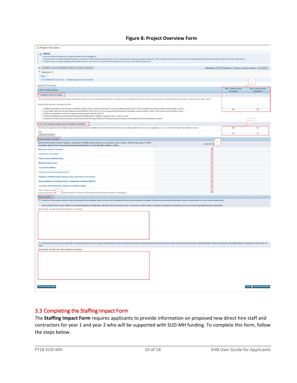|  |  |  | <b>Figure 8: Project Overview Form</b> |  |
|--|--|--|----------------------------------------|--|
|--|--|--|----------------------------------------|--|

| <b>B</b> Project Overview                                                                                                                                                                                                                                                                                                                                                               |                     |                                   |                                   |
|-----------------------------------------------------------------------------------------------------------------------------------------------------------------------------------------------------------------------------------------------------------------------------------------------------------------------------------------------------------------------------------------|---------------------|-----------------------------------|-----------------------------------|
|                                                                                                                                                                                                                                                                                                                                                                                         |                     |                                   |                                   |
| $Note(s)$ :<br>You must propose to implement or advance evidence-based strategies to:                                                                                                                                                                                                                                                                                                   |                     |                                   |                                   |
| 1) Expand access to quality integrated substance use disorder (SUD) prevention and treatment services, including those addressing opioid use disorder (OUD) and other emerging SUD issues; to best meet the health needs of th<br>2) Expand access to quality integrated mental health services, with a focus on conditions that increase risk for or co-occur with SUD, including OUD. |                     |                                   |                                   |
| $\mathbf{F}$                                                                                                                                                                                                                                                                                                                                                                            | Due Date:           | (Due In: Days)   Section Status:  |                                   |
| ▼ Resources IS                                                                                                                                                                                                                                                                                                                                                                          |                     |                                   |                                   |
| View                                                                                                                                                                                                                                                                                                                                                                                    |                     |                                   |                                   |
| FY 2018 SUD-MH User Guide   Funding Opportunity Announcement                                                                                                                                                                                                                                                                                                                            |                     |                                   | $\ddot{\phantom{1}}$              |
| Fields with * are required                                                                                                                                                                                                                                                                                                                                                              |                     |                                   |                                   |
| <b>Federal Funding Request</b>                                                                                                                                                                                                                                                                                                                                                          |                     | Year 1 Federal Funds<br>Requested | Year 2 Federal Funds<br>Requested |
| * Expanded Services Funding                                                                                                                                                                                                                                                                                                                                                             |                     |                                   |                                   |
| You must request expanded services funding to implement and/or advance evidence-based strategies to expand access to integrated SUD and/or mental health services, including additional MAT services, if applicable, for years                                                                                                                                                          |                     |                                   |                                   |
| Note the following when completing this form:                                                                                                                                                                                                                                                                                                                                           |                     |                                   |                                   |
| . Additional expanded services funding is available to health centers currently providing MAT services as demonstrated by 2017 UDS to increase the number of patients receiving MAT services.                                                                                                                                                                                           |                     | \$0                               | \$0                               |
| . If your health center did not report patients receiving MAT for OUD in 2017, you may request only the base level of expanded services funding in years 1 and 2 (plus one-time funding in year 1).<br>. Funding is anticipated to continue to support service expansion activities in year 2.                                                                                          |                     |                                   |                                   |
| . HRSA provided the maximum amount of funding each health center is eligible to request for years 1 and 2 by email<br>. Expanded services funding is expected to become part of the H80 grant award (roll into base funding) confingent upon available funding and satisfactory progress.                                                                                               |                     |                                   |                                   |
|                                                                                                                                                                                                                                                                                                                                                                                         |                     |                                   |                                   |
| One-Time Funding to Support Service Expansion (Optional)                                                                                                                                                                                                                                                                                                                                |                     | 50                                | <b>N/A</b>                        |
| You may also request one-time funding to support increased access to integrated SUD and/or mental health services, including additional MAT services, if applicable, in year 1. One-time funding is not available in year 2.<br>Total                                                                                                                                                   |                     |                                   |                                   |
| Calculate and Save                                                                                                                                                                                                                                                                                                                                                                      |                     | 50                                | \$0                               |
| Evidence-Based Strategies                                                                                                                                                                                                                                                                                                                                                               |                     |                                   |                                   |
| Identify which evidence-based integration strategy(les) SUD-MH funding will help you implement and/or advance. Select all that apply. If "Other"<br>is selected, describe the proposed evidence-based strategy(ies) in Project Narrative question 1 below.                                                                                                                              | 3<br>Select All The |                                   |                                   |
| <b>Medication Assisted Treatment</b>                                                                                                                                                                                                                                                                                                                                                    |                     |                                   |                                   |
| Collaborative Care Model                                                                                                                                                                                                                                                                                                                                                                |                     |                                   |                                   |
| <b>Patient Centered Medical Home</b>                                                                                                                                                                                                                                                                                                                                                    |                     |                                   |                                   |
| <b>Medicaid Health Homes</b>                                                                                                                                                                                                                                                                                                                                                            |                     |                                   |                                   |
| <b>Four Quadrant Model</b>                                                                                                                                                                                                                                                                                                                                                              |                     |                                   |                                   |
| <b>Assertive Community Treatment (ACT)</b>                                                                                                                                                                                                                                                                                                                                              |                     |                                   |                                   |
| Integration of Mental Health, Substance Use, and Primary Care Services                                                                                                                                                                                                                                                                                                                  |                     |                                   |                                   |
| Improving Mood-Promoting Access to Collaborative Treatment (IMPACT)                                                                                                                                                                                                                                                                                                                     |                     |                                   |                                   |
| Screening, Brief Interventions, Referral to Treatment (SBIRT)                                                                                                                                                                                                                                                                                                                           |                     |                                   |                                   |
| Other evidence-based<br>$\overline{4}$<br>In your response to Pr<br>arrative question 1 below, provide details on the selected integration strategy(ies)                                                                                                                                                                                                                                |                     |                                   |                                   |
| <b>Project Narrative</b>                                                                                                                                                                                                                                                                                                                                                                |                     |                                   |                                   |
| * 1. Describe how proposed activities and purchases will help implement and/or advance each identified evidence based integration strategy, including how they address the health center's overarching SUD and/or mental healt                                                                                                                                                          |                     |                                   |                                   |
| If you selected 'Other' above, identify the selected integration strategy(les) and briefly state the evidence base. If you wish to submit a table or diagram to support this narrative, do so in the Project Description/Abstr                                                                                                                                                          |                     |                                   |                                   |
| Approximately 3/4 page. (Max 2500 Characters with spaces)                                                                                                                                                                                                                                                                                                                               |                     |                                   |                                   |
|                                                                                                                                                                                                                                                                                                                                                                                         |                     |                                   |                                   |
|                                                                                                                                                                                                                                                                                                                                                                                         |                     |                                   |                                   |
|                                                                                                                                                                                                                                                                                                                                                                                         |                     |                                   |                                   |
|                                                                                                                                                                                                                                                                                                                                                                                         |                     |                                   |                                   |
|                                                                                                                                                                                                                                                                                                                                                                                         |                     |                                   |                                   |
|                                                                                                                                                                                                                                                                                                                                                                                         |                     |                                   |                                   |
| * 2. Describe the actions that you will take to achieve expanded access to quality integrated SUD and/or mental health services, including proposed personnet and one-time funding uses (if requested). If additional MAT fund<br>OUD.                                                                                                                                                  |                     |                                   |                                   |
| Approximately 3/4 page. (Max 2500 Characters with spaces)                                                                                                                                                                                                                                                                                                                               |                     |                                   |                                   |
|                                                                                                                                                                                                                                                                                                                                                                                         |                     |                                   |                                   |
|                                                                                                                                                                                                                                                                                                                                                                                         |                     |                                   |                                   |
|                                                                                                                                                                                                                                                                                                                                                                                         |                     |                                   |                                   |
|                                                                                                                                                                                                                                                                                                                                                                                         |                     |                                   |                                   |
|                                                                                                                                                                                                                                                                                                                                                                                         |                     |                                   |                                   |
|                                                                                                                                                                                                                                                                                                                                                                                         |                     |                                   |                                   |
|                                                                                                                                                                                                                                                                                                                                                                                         |                     |                                   |                                   |
| Go to Previous Page                                                                                                                                                                                                                                                                                                                                                                     |                     |                                   | Save Save and Continue            |

## <span id="page-9-0"></span>3.3 Completing the Staffing Impact Form

The **Staffing Impact Form** requires applicants to provide information on proposed new direct hire staff and contractors for year 1 and year 2 who will be supported with SUD-MH funding. To complete this form, follow the steps below.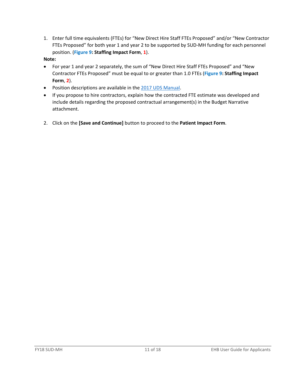1. Enter full time equivalents (FTEs) for "New Direct Hire Staff FTEs Proposed" and/or "New Contractor FTEs Proposed" for both year 1 and year 2 to be supported by SUD-MH funding for each personnel position. (**[Figure 9: Staffing Impact Form](#page-11-1)**, **1**).

### **Note:**

- For year 1 and year 2 separately, the sum of "New Direct Hire Staff FTEs Proposed" and "New Contractor FTEs Proposed" must be equal to or greater than 1.0 FTEs (**[Figure 9: Staffing Impact](#page-11-1) [Form](#page-11-1)**, **2**).
- Position descriptions are available in the [2017 UDS Manual.](https://www.bphc.hrsa.gov/datareporting/reporting/2017udsreportingmanual.pdf)
- If you propose to hire contractors, explain how the contracted FTE estimate was developed and include details regarding the proposed contractual arrangement(s) in the Budget Narrative attachment.
- 2. Click on the **[Save and Continue]** button to proceed to the **Patient Impact Form**.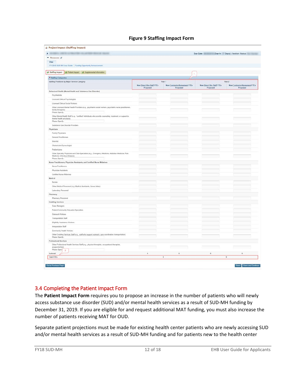**Figure 9 Staffing Impact Form**

<span id="page-11-1"></span>

| $\mathbf{F}$                                                                                                                                              |                                               |                                                  | Due Date:                                     | Due In: Days)   Section Status:                  |
|-----------------------------------------------------------------------------------------------------------------------------------------------------------|-----------------------------------------------|--------------------------------------------------|-----------------------------------------------|--------------------------------------------------|
| ▼ Resources ピ                                                                                                                                             |                                               |                                                  |                                               |                                                  |
| View                                                                                                                                                      |                                               |                                                  |                                               |                                                  |
| FY 2018 SUD-MH User Guide   Funding Opportunity Announcement                                                                                              |                                               |                                                  |                                               |                                                  |
| X Staffing Impact X Patient Impact X Supplemental Information                                                                                             |                                               |                                                  |                                               |                                                  |
|                                                                                                                                                           |                                               | $\mathbf{1}$                                     |                                               |                                                  |
| * Staffing Categories                                                                                                                                     |                                               | Year 1                                           |                                               | Year 2                                           |
| Staffing Positions by Major Service Category                                                                                                              | <b>New Direct Hire Staff FTEs</b><br>Proposed | <b>New Contractor/Agreement FTEs</b><br>Proposed | <b>New Direct Hire Staff FTEs</b><br>Proposed | <b>New Contractor/Agreement FTEs</b><br>Proposed |
| Behavioral Health (Mental Health and Substance Use Disorder)                                                                                              |                                               |                                                  |                                               |                                                  |
| Psychiatrists                                                                                                                                             |                                               |                                                  |                                               |                                                  |
| Licensed Clinical Psychologists                                                                                                                           |                                               |                                                  |                                               |                                                  |
| Licensed Clinical Social Workers                                                                                                                          |                                               |                                                  |                                               |                                                  |
| Other Licensed Mental Health Providers (e.g., psychiatric social workers, psychiatric nurse practitioners,                                                |                                               |                                                  |                                               |                                                  |
| family therapists)<br>Please Specify:                                                                                                                     |                                               |                                                  |                                               |                                                  |
| Other Mental Health Staff (e.g., "certified" individuals who provide counseling, treatment, or support to<br>mental health providers).<br>Please Specify: |                                               |                                                  |                                               |                                                  |
| Substance Use Disorder Providers                                                                                                                          |                                               |                                                  |                                               |                                                  |
| Physicians                                                                                                                                                |                                               |                                                  |                                               |                                                  |
| Family Physicians                                                                                                                                         |                                               |                                                  |                                               |                                                  |
| General Practitioners                                                                                                                                     |                                               |                                                  |                                               |                                                  |
| Internist                                                                                                                                                 |                                               |                                                  |                                               |                                                  |
| Obstetrician/Gynecologist                                                                                                                                 |                                               |                                                  |                                               |                                                  |
|                                                                                                                                                           |                                               |                                                  |                                               |                                                  |
| Pediatricians<br>Other Specialty Physicians and Sub-Specialists (e.g., Emergency Medicine, Addiction Medicine, Pain                                       |                                               |                                                  |                                               |                                                  |
| Medicine, Infectious Disease)<br>Please Specify                                                                                                           |                                               |                                                  |                                               |                                                  |
| Nurse Practitioners, Physician Assistants, and Certified Nurse Midwives                                                                                   |                                               |                                                  |                                               |                                                  |
| Nurse Practitioners                                                                                                                                       |                                               |                                                  |                                               |                                                  |
| Physician Assistants                                                                                                                                      |                                               |                                                  |                                               |                                                  |
| Certified Nurse Midwives                                                                                                                                  |                                               |                                                  |                                               |                                                  |
| Medical                                                                                                                                                   |                                               |                                                  |                                               |                                                  |
| Nurses                                                                                                                                                    |                                               |                                                  |                                               |                                                  |
| Other Medical Personnel (e.g. Medical Assistants, Nurse Aides)                                                                                            |                                               |                                                  |                                               |                                                  |
| Laboratory Personnel                                                                                                                                      |                                               |                                                  |                                               |                                                  |
| Pharmacy                                                                                                                                                  |                                               |                                                  |                                               |                                                  |
| Pharmacy Personnel                                                                                                                                        |                                               |                                                  |                                               |                                                  |
| <b>Enabling Services</b>                                                                                                                                  |                                               |                                                  |                                               |                                                  |
| Case Managers                                                                                                                                             |                                               |                                                  |                                               |                                                  |
|                                                                                                                                                           |                                               |                                                  |                                               |                                                  |
| Patient/Community Education Specialists                                                                                                                   |                                               |                                                  |                                               |                                                  |
| Outreach Workers                                                                                                                                          |                                               |                                                  |                                               |                                                  |
| <b>Transportation Staff</b>                                                                                                                               |                                               |                                                  |                                               |                                                  |
| Eligibility Assistance Workers                                                                                                                            |                                               |                                                  |                                               |                                                  |
| Interpretation Staff                                                                                                                                      |                                               |                                                  |                                               |                                                  |
| Community Health Workers                                                                                                                                  |                                               |                                                  |                                               |                                                  |
| Other Enabling Services Staff (e.g., staff who support outreach, care coordination, transportation)<br>Please Specify:                                    |                                               |                                                  |                                               |                                                  |
| Professional Services                                                                                                                                     |                                               |                                                  |                                               |                                                  |
| Other Professional Health Services Staff (e.g., physical therapists, occupational therapists,<br>acupuncturists)<br>Please Speck                          |                                               |                                                  |                                               |                                                  |
| $\overline{2}$<br>Subtotal                                                                                                                                | $0\,$                                         | $\mathbf{0}$                                     | $\mathbf{0}$                                  | $\ddot{\phantom{0}}$                             |
| <b>Total FTEs</b>                                                                                                                                         |                                               | $\mathbf{0}$                                     |                                               | $\mathbf{0}$                                     |

## <span id="page-11-0"></span>3.4 Completing the Patient Impact Form

The **Patient Impact Form** requires you to propose an increase in the number of patients who will newly access substance use disorder (SUD) and/or mental health services as a result of SUD-MH funding by December 31, 2019. If you are eligible for and request additional MAT funding, you must also increase the number of patients receiving MAT for OUD.

Separate patient projections must be made for existing health center patients who are newly accessing SUD and/or mental health services as a result of SUD-MH funding and for patients new to the health center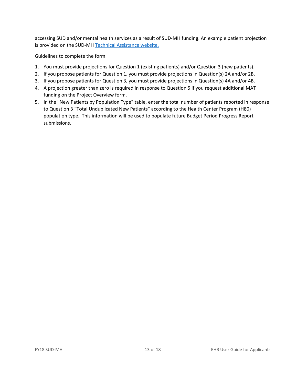accessing SUD and/or mental health services as a result of SUD-MH funding. An example patient projection is provided on the SUD-MH [Technical Assistance website.](https://bphc.hrsa.gov/programopportunities/fundingopportunities/sud-mh)

Guidelines to complete the form

- 1. You must provide projections for Question 1 (existing patients) and/or Question 3 (new patients).
- 2. If you propose patients for Question 1, you must provide projections in Question(s) 2A and/or 2B.
- 3. If you propose patients for Question 3, you must provide projections in Question(s) 4A and/or 4B.
- 4. A projection greater than zero is required in response to Question 5 if you request additional MAT funding on the Project Overview form.
- 5. In the "New Patients by Population Type" table, enter the total number of patients reported in response to Question 3 "Total Unduplicated New Patients" according to the Health Center Program (H80) population type. This information will be used to populate future Budget Period Progress Report submissions.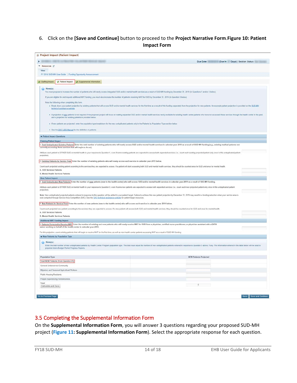## 6. Click on the **[Save and Continue]** button to proceed to the **Project Narrative Form**.**Figure 10: Patient Impact Form**

| $\overline{ }$<br>▼ Resources ぱ<br>View<br>FY 2018 SUD-MH User Guide   Funding Opportunity Announcement<br>K Staffing Impact<br>X Patient Impact<br>X Supplemental Information<br>( Note(s):<br>You must propose to increase the number of patients who will newly access integrated SUD and/or mental health services as a result of SUD-MH funding by December 31, 2019 (in Questions 1 and/or 3 helow)<br>If you are eligible for and request additional MAT funding, you must also increase the number of patients receiving MAT for OUD by December 31, 2019 (in Question 5 below) | Due Date:<br>(Due In Days)   Section Status: |
|-----------------------------------------------------------------------------------------------------------------------------------------------------------------------------------------------------------------------------------------------------------------------------------------------------------------------------------------------------------------------------------------------------------------------------------------------------------------------------------------------------------------------------------------------------------------------------------------|----------------------------------------------|
|                                                                                                                                                                                                                                                                                                                                                                                                                                                                                                                                                                                         |                                              |
|                                                                                                                                                                                                                                                                                                                                                                                                                                                                                                                                                                                         |                                              |
|                                                                                                                                                                                                                                                                                                                                                                                                                                                                                                                                                                                         |                                              |
|                                                                                                                                                                                                                                                                                                                                                                                                                                                                                                                                                                                         |                                              |
|                                                                                                                                                                                                                                                                                                                                                                                                                                                                                                                                                                                         |                                              |
|                                                                                                                                                                                                                                                                                                                                                                                                                                                                                                                                                                                         |                                              |
|                                                                                                                                                                                                                                                                                                                                                                                                                                                                                                                                                                                         |                                              |
|                                                                                                                                                                                                                                                                                                                                                                                                                                                                                                                                                                                         |                                              |
| Note the following when completing this form.                                                                                                                                                                                                                                                                                                                                                                                                                                                                                                                                           |                                              |
| . Break down your patient projection by existing patients that will access SUD and/or mental health services for the first time as a result of this funding separately from the projection for new patients. An example patien<br>technical assistance website                                                                                                                                                                                                                                                                                                                          |                                              |
| . A projection of new patients is not required if the proposed project will focus on making expanded SUD and/or mental health services newly available for existing health center patients who have not accessed these service<br>and a projection for existing patients is provided below.                                                                                                                                                                                                                                                                                             |                                              |
| . If new patients are projected, enter the population type breakdown for the new unduplicated patients only in the Patients by Population Type section below                                                                                                                                                                                                                                                                                                                                                                                                                            |                                              |
| . See the 2017 UDS Manual for the definition of patients.                                                                                                                                                                                                                                                                                                                                                                                                                                                                                                                               |                                              |
| Patient Impact Questions                                                                                                                                                                                                                                                                                                                                                                                                                                                                                                                                                                |                                              |
| <b>Existing Patient Impact</b>                                                                                                                                                                                                                                                                                                                                                                                                                                                                                                                                                          |                                              |
| 1. Total Unduplicated Existing Patients  Enter the total number of existing patients who will newly access SUD and/or mental health services in calendar year 2019 as a result of SUD-MH funding (e.g., existing medical patie<br>currently accessing these services that will begin to do so).                                                                                                                                                                                                                                                                                         |                                              |
| Attribute each patient to EITHER SUD or mental health in your response to Question 1, even if some existing patients are expected to access both expanded services (i.e., count each existing projected patient only once in t<br>projection).                                                                                                                                                                                                                                                                                                                                          |                                              |
| 2. Existing Patients by Service Type Enter the number of existing patients who will newly access each service in calendar year 2019 below.                                                                                                                                                                                                                                                                                                                                                                                                                                              |                                              |
| Count each projected existing patient according to the services they are expected to access. If a patient will start accessing both SUD and mental health services, they should be counted once for SUD and once for mental he                                                                                                                                                                                                                                                                                                                                                          |                                              |
| A. SUD Services Patients                                                                                                                                                                                                                                                                                                                                                                                                                                                                                                                                                                |                                              |
| <b>B. Mental Health Services Patients</b>                                                                                                                                                                                                                                                                                                                                                                                                                                                                                                                                               |                                              |
| <b>New Patient Impact</b>                                                                                                                                                                                                                                                                                                                                                                                                                                                                                                                                                               |                                              |
| 3. Total Unduplicated New Patients: Enter the number of new patients (new to the health center) who will access SUD and/or mental health services in calendar year 2019 as a result of SUD-MH funding.                                                                                                                                                                                                                                                                                                                                                                                  |                                              |
| Attribute each patient to EITHER SUD or mental health in your response to Question 3, even if some new patients are expected to access both expanded services (i.e., count each new projected patient only once in this undupl                                                                                                                                                                                                                                                                                                                                                          |                                              |
| projection).                                                                                                                                                                                                                                                                                                                                                                                                                                                                                                                                                                            |                                              |
| Note: New unduplicated projected patients entered in response to this question will be added to your patient target. Failure to achieve this new patient projection by December 31, 2019 may result in a funding reduction whe<br>next competed through Service Area Competition (SAC) See the SAC technical assistance website for patient target resources.                                                                                                                                                                                                                           |                                              |
| 4. New Patients by Service Type: Enter the number of new patients (new to the health center) who will access each service in calendar year 2019 below.                                                                                                                                                                                                                                                                                                                                                                                                                                  |                                              |
| Count each projected new patient according to the services they are expected to access. If a new patient will access both SUD and mental health services, they should be counted once for SUD and once for mental health                                                                                                                                                                                                                                                                                                                                                                |                                              |
| A. SUD Services Patients                                                                                                                                                                                                                                                                                                                                                                                                                                                                                                                                                                |                                              |
| B. Mental Health Services Patients                                                                                                                                                                                                                                                                                                                                                                                                                                                                                                                                                      |                                              |
| Additional MAT Funding Impact                                                                                                                                                                                                                                                                                                                                                                                                                                                                                                                                                           |                                              |
| 5. Patients Projected to Receive MAT: Enter the number of existing and new patients who will newly receive MAT for OUD from a physician, certified nurse practitioner, or physician assistant with a DATA<br>waiver working on behalf of the health center in calendar year 2019.                                                                                                                                                                                                                                                                                                       |                                              |
|                                                                                                                                                                                                                                                                                                                                                                                                                                                                                                                                                                                         |                                              |
| For this projection, count existing patients that will begin to receive MAT for the first time, as well as new health center patients accessing MAT as a result of SUD-MH funding.                                                                                                                                                                                                                                                                                                                                                                                                      |                                              |
| Wew Patients by Population Type                                                                                                                                                                                                                                                                                                                                                                                                                                                                                                                                                         |                                              |
| Note(s):                                                                                                                                                                                                                                                                                                                                                                                                                                                                                                                                                                                |                                              |
| Enter the total number of new unduplicated patients by Health Center Program population type. The total must equal the number of new unduplicated patients entered in response to Question 3 above, if any. The information en<br>populate future Budget Period Progress Reports.                                                                                                                                                                                                                                                                                                       |                                              |
| Population Type                                                                                                                                                                                                                                                                                                                                                                                                                                                                                                                                                                         | <b>NEW Patients Projected</b>                |
| Total NEW Patients (from Question #3)                                                                                                                                                                                                                                                                                                                                                                                                                                                                                                                                                   |                                              |
| General Underserved Community                                                                                                                                                                                                                                                                                                                                                                                                                                                                                                                                                           |                                              |
| Migratory and Seasonal Agricultural Workers                                                                                                                                                                                                                                                                                                                                                                                                                                                                                                                                             |                                              |
| Public Housing Residents                                                                                                                                                                                                                                                                                                                                                                                                                                                                                                                                                                |                                              |
| People Experiencing Homelessness                                                                                                                                                                                                                                                                                                                                                                                                                                                                                                                                                        |                                              |
| Total                                                                                                                                                                                                                                                                                                                                                                                                                                                                                                                                                                                   |                                              |
| Calculate and Save                                                                                                                                                                                                                                                                                                                                                                                                                                                                                                                                                                      | $\sim$ 0                                     |

# <span id="page-13-0"></span>3.5 Completing the Supplemental Information Form

On the **Supplemental Information Form**, you will answer 3 questions regarding your proposed SUD-MH project (**[Figure 11: Supplemental Information](#page-14-0) Form**). Select the appropriate response for each question.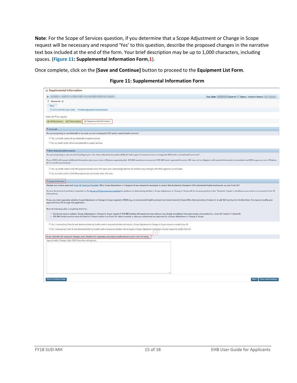**Note**: For the Scope of Services question, if you determine that a Scope Adjustment or Change in Scope request will be necessary and respond 'Yes' to this question, describe the proposed changes in the narrative text box included at the end of the form. Your brief description may be up to 1,000 characters, including spaces. (**[Figure 11: Supplemental Information Form,](#page-14-0)1**).

<span id="page-14-0"></span>Once complete, click on the **[Save and Continue]** button to proceed to the **Equipment List Form**.

|  | Figure 11: Supplemental Information Form |  |  |
|--|------------------------------------------|--|--|
|--|------------------------------------------|--|--|

| <b>2 Supplemental Information</b>                                                                                                                                                                                                                                                                                                                                                                 |                                               |
|---------------------------------------------------------------------------------------------------------------------------------------------------------------------------------------------------------------------------------------------------------------------------------------------------------------------------------------------------------------------------------------------------|-----------------------------------------------|
|                                                                                                                                                                                                                                                                                                                                                                                                   | Due Date:<br>(Due In: Days)   Section Status: |
| ▼ Resources LS                                                                                                                                                                                                                                                                                                                                                                                    |                                               |
| View                                                                                                                                                                                                                                                                                                                                                                                              |                                               |
| FY 2018 SUD-MH User Guide Funding Opportunity Announcement                                                                                                                                                                                                                                                                                                                                        |                                               |
|                                                                                                                                                                                                                                                                                                                                                                                                   |                                               |
| Fields with * are required                                                                                                                                                                                                                                                                                                                                                                        |                                               |
| X. Staffing Impact X. Patient Impact<br>Supplemental Information                                                                                                                                                                                                                                                                                                                                  |                                               |
| * Telehealth                                                                                                                                                                                                                                                                                                                                                                                      |                                               |
| Are you proposing to use telehealth to increase access to integrated SUD and/or mental health services?                                                                                                                                                                                                                                                                                           |                                               |
| El Yes, my health center will use telehealth to expand services                                                                                                                                                                                                                                                                                                                                   |                                               |
| <sup>1</sup> No. my health center will not use telehealth to expand services                                                                                                                                                                                                                                                                                                                      |                                               |
|                                                                                                                                                                                                                                                                                                                                                                                                   |                                               |
| * Minor Alterations/Renovations                                                                                                                                                                                                                                                                                                                                                                   |                                               |
| Are you proposing to use one time funding in year 1 for minor alteration/renovation (A/R) that will support increased access to integrated SUD and/or mental health services?                                                                                                                                                                                                                     |                                               |
| If yes, HRSA will request additional information about your minor A/R plans separately after SUD.MH awards are announced. SUD.MH funds requested for minor A/R may not be obligated until required information is submitted an                                                                                                                                                                    |                                               |
| (6 to 9 months post award).                                                                                                                                                                                                                                                                                                                                                                       |                                               |
| Tes, my health center's SUD-MH proposal includes minor A/R costs, and I acknowledge that the A/R activities may not begin until HRSA approves our A/R plans                                                                                                                                                                                                                                       |                                               |
| No, my health center's SUD-MH proposal does not include minor A/R costs                                                                                                                                                                                                                                                                                                                           |                                               |
| * Scope of Services                                                                                                                                                                                                                                                                                                                                                                               |                                               |
| Review your current approved Form 5A: Services Provided. Will a Scope Adjustment or Change in Scope request be necessary to ensure that all planned changes to SUD and mental health services are on your Form 5A?                                                                                                                                                                                |                                               |
| Access the technical assistance materials on the Scope of Project resource website for guidance in determining whether a Scope Adjustment or Change in Scope will be necessary (click on the "Services" header in the Resource                                                                                                                                                                    |                                               |
| information).                                                                                                                                                                                                                                                                                                                                                                                     |                                               |
| If yes, you must separately submit a Scope Adjustment or Change in Scope request to HRSA (e.g., to move mental health services from formal referral (Column III) to direct provision (Column II), to add SUD services for the                                                                                                                                                                     |                                               |
| approved Form 5A through this application.                                                                                                                                                                                                                                                                                                                                                        |                                               |
| Note the following when completing this form:                                                                                                                                                                                                                                                                                                                                                     |                                               |
|                                                                                                                                                                                                                                                                                                                                                                                                   |                                               |
| - You do not need to submit a Scope Adjustment or Change in Scope request if SUD-MH funding will expand services that you are already providing in the same modes of provision (i.e., Form 5A Column I, Column II).<br>. SUD-MH funded services must be listed in Column I and/or II on Form 5A, either currently or after you submit and are approved for a Scope Adjustment or Change in Scope. |                                               |
| If Yes, I reviewed my Form 5A and determined that my health center's proposed activities will require a Scope Adjustment or Change in Scope request to modify Form 5A                                                                                                                                                                                                                             |                                               |
| No. I reviewed my Form 5A and determined that my health center's proposed activities will not require a Scope Adjustment or Change in Scope request to modify Form 5A                                                                                                                                                                                                                             |                                               |
| $\mathbf{1}$                                                                                                                                                                                                                                                                                                                                                                                      |                                               |
| If yes, describe the proposed changes and a timeline for requesting necessary modifications to your Form 5A below.                                                                                                                                                                                                                                                                                |                                               |
| Approximately 1/4 page. (Max 1000 Characters with spaces)                                                                                                                                                                                                                                                                                                                                         |                                               |
|                                                                                                                                                                                                                                                                                                                                                                                                   |                                               |
|                                                                                                                                                                                                                                                                                                                                                                                                   |                                               |
|                                                                                                                                                                                                                                                                                                                                                                                                   |                                               |
|                                                                                                                                                                                                                                                                                                                                                                                                   |                                               |
|                                                                                                                                                                                                                                                                                                                                                                                                   |                                               |
|                                                                                                                                                                                                                                                                                                                                                                                                   |                                               |
|                                                                                                                                                                                                                                                                                                                                                                                                   |                                               |
|                                                                                                                                                                                                                                                                                                                                                                                                   |                                               |
| Go to Previous Page                                                                                                                                                                                                                                                                                                                                                                               | <b>Save and Continue</b><br>Save              |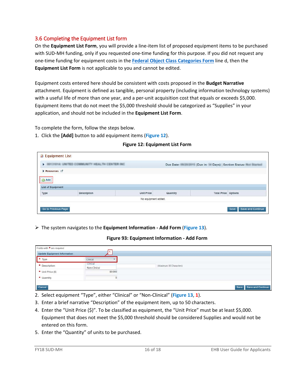## <span id="page-15-0"></span>3.6 Completing the Equipment List form

On the **Equipment List Form**, you will provide a line-item list of proposed equipment items to be purchased with SUD-MH funding, only if you requested one-time funding for this purpose. If you did not request any one-time funding for equipment costs in the **[Federal Object Class Categories](#page-7-0) Form** line d, then the **Equipment List Form** is not applicable to you and cannot be edited.

Equipment costs entered here should be consistent with costs proposed in the **Budget Narrative** attachment. Equipment is defined as tangible, personal property (including information technology systems) with a useful life of more than one year, and a per-unit acquisition cost that equals or exceeds \$5,000. Equipment items that do not meet the \$5,000 threshold should be categorized as "Supplies" in your application, and should not be included in the **Equipment List Form**.

To complete the form, follow the steps below.

<span id="page-15-1"></span>1. Click the **[Add]** button to add equipment items (**[Figure 1](#page-15-1)2**).

| <b>Equipment List</b>            |                                                |                   |          |                            |                                                                                                                                                                    |
|----------------------------------|------------------------------------------------|-------------------|----------|----------------------------|--------------------------------------------------------------------------------------------------------------------------------------------------------------------|
|                                  | HER DRIVERS WANTED COMMUNITY HEALTH CENTER AND |                   |          |                            | Due Date: (Due In: In Days)   Section Status: 1999   International Contract Line International Contract Days)   Section Status: 1999   International Contract Days |
| Resources L'                     |                                                |                   |          |                            |                                                                                                                                                                    |
| Add                              |                                                |                   |          |                            |                                                                                                                                                                    |
|                                  |                                                |                   |          |                            |                                                                                                                                                                    |
|                                  |                                                |                   | Quantity | <b>Total Price Options</b> |                                                                                                                                                                    |
| <b>List of Equipment</b><br>Type | <b>Description</b>                             | <b>Unit Price</b> |          |                            |                                                                                                                                                                    |

#### **Figure 12: Equipment List Form**

### <span id="page-15-2"></span>The system navigates to the **Equipment Information - Add Form** (**[Figure 13](#page-15-2)**).

#### **Figure 93: Equipment Information - Add Form**

| Fields with * are required   |                          |                         |                        |
|------------------------------|--------------------------|-------------------------|------------------------|
| Update Equipment Information |                          |                         |                        |
| $+$ Type                     | Clinical                 |                         |                        |
| + Description                | Clinical<br>Non-Clinical | (Maximum 50 Characters) |                        |
| $\bullet$ Unit Price (\$)    | \$9,000                  |                         |                        |
| * Quantity                   |                          |                         |                        |
| Cancel                       |                          |                         | Save Save and Continue |

- 2. Select equipment "Type", either "Clinical" or "Non-Clinical" (**[Figure 13](#page-15-2)**, **1**).
- 3. Enter a brief narrative "Description" of the equipment item, up to 50 characters.
- 4. Enter the "Unit Price (\$)". To be classified as equipment, the "Unit Price" must be at least \$5,000. Equipment that does not meet the \$5,000 threshold should be considered Supplies and would not be entered on this form.
- 5. Enter the "Quantity" of units to be purchased.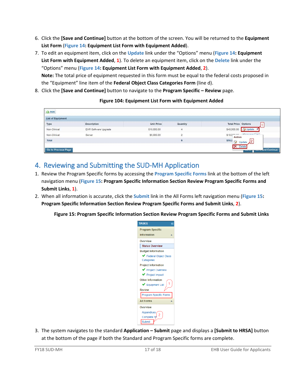- 6. Click the **[Save and Continue]** button at the bottom of the screen. You will be returned to the **Equipment List Form** (**[Figure 14: Equipment List Form with Equipment Added](#page-16-1)**).
- 7. To edit an equipment item, click on the **Update** link under the "Options" menu (**[Figure 14: Equipment](#page-16-1)  [List Form with Equipment Added](#page-16-1)**, **1**). To delete an equipment item, click on the **Delete** link under the "Options" menu (**[Figure 14: Equipment List Form with Equipment Added](#page-16-1)**, **2**). **Note:** The total price of equipment requested in this form must be equal to the federal costs proposed in the "Equipment" line item of the **Federal Object Class Categories Form** (line d).
- <span id="page-16-1"></span>8. Click the **[Save and Continue]** button to navigate to the **Program Specific – Review** page.

| <b>O</b> Add             |                      |                   |                |                                          |
|--------------------------|----------------------|-------------------|----------------|------------------------------------------|
| <b>List of Equipment</b> |                      |                   |                |                                          |
| Type                     | Description          | <b>Unit Price</b> | Quantity       | <b>Total Price Options</b>               |
| Non-Clinical             | EHR Software Upgrade | \$10,000.00       | 4              | Dydate<br>\$40,000.00                    |
| Non-Clinical             | Server               | \$5,000.00        | $\overline{2}$ | $F_{\lambda}$<br>$$10.0^{n n}$<br>Action |
| Total                    |                      |                   | 6              | \$50,0<br>$\mathscr{A}$<br>Update<br>24  |
| Go to Previous Page      |                      |                   |                | ×<br>Delete<br>Juice and Continue<br>$-$ |

### **Figure 104: Equipment List Form with Equipment Added**

# <span id="page-16-0"></span>4. Reviewing and Submitting the SUD-MH Application

- 1. Review the Program Specific forms by accessing the **Program Specific Forms** link at the bottom of the left navigation menu (**[Figure 15: Program Specific Information Section Review Program Specific Forms and](#page-16-2)  [Submit Links](#page-16-2)**, **1**).
- <span id="page-16-2"></span>2. When all information is accurate, click the **Submit** link in the All Forms left navigation menu (**[Figure 15:](#page-16-2)  [Program Specific Information Section Review Program Specific Forms and Submit Links](#page-16-2)**, **2**).

**Figure 15: Program Specific Information Section Review Program Specific Forms and Submit Links**



3. The system navigates to the standard **Application – Submit** page and displays a **[Submit to HRSA]** button at the bottom of the page if both the Standard and Program Specific forms are complete.